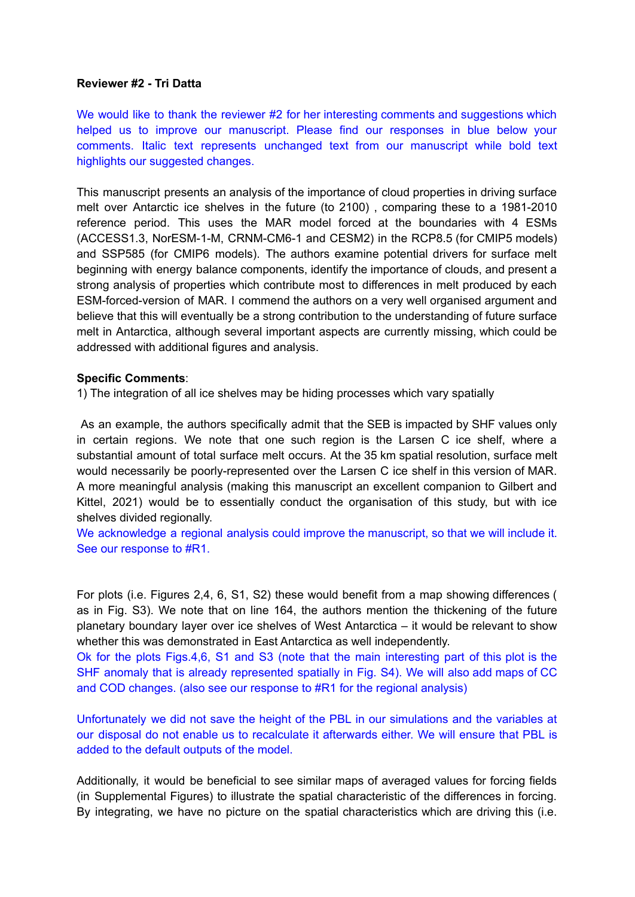#### **Reviewer #2 - Tri Datta**

We would like to thank the reviewer #2 for her interesting comments and suggestions which helped us to improve our manuscript. Please find our responses in blue below your comments. Italic text represents unchanged text from our manuscript while bold text highlights our suggested changes.

This manuscript presents an analysis of the importance of cloud properties in driving surface melt over Antarctic ice shelves in the future (to 2100) , comparing these to a 1981-2010 reference period. This uses the MAR model forced at the boundaries with 4 ESMs (ACCESS1.3, NorESM-1-M, CRNM-CM6-1 and CESM2) in the RCP8.5 (for CMIP5 models) and SSP585 (for CMIP6 models). The authors examine potential drivers for surface melt beginning with energy balance components, identify the importance of clouds, and present a strong analysis of properties which contribute most to differences in melt produced by each ESM-forced-version of MAR. I commend the authors on a very well organised argument and believe that this will eventually be a strong contribution to the understanding of future surface melt in Antarctica, although several important aspects are currently missing, which could be addressed with additional figures and analysis.

## **Specific Comments**:

1) The integration of all ice shelves may be hiding processes which vary spatially

As an example, the authors specifically admit that the SEB is impacted by SHF values only in certain regions. We note that one such region is the Larsen C ice shelf, where a substantial amount of total surface melt occurs. At the 35 km spatial resolution, surface melt would necessarily be poorly-represented over the Larsen C ice shelf in this version of MAR. A more meaningful analysis (making this manuscript an excellent companion to Gilbert and Kittel, 2021) would be to essentially conduct the organisation of this study, but with ice shelves divided regionally.

We acknowledge a regional analysis could improve the manuscript, so that we will include it. See our response to #R1.

For plots (i.e. Figures 2,4, 6, S1, S2) these would benefit from a map showing differences ( as in Fig. S3). We note that on line 164, the authors mention the thickening of the future planetary boundary layer over ice shelves of West Antarctica – it would be relevant to show whether this was demonstrated in East Antarctica as well independently.

Ok for the plots Figs.4,6, S1 and S3 (note that the main interesting part of this plot is the SHF anomaly that is already represented spatially in Fig. S4). We will also add maps of CC and COD changes. (also see our response to #R1 for the regional analysis)

Unfortunately we did not save the height of the PBL in our simulations and the variables at our disposal do not enable us to recalculate it afterwards either. We will ensure that PBL is added to the default outputs of the model.

Additionally, it would be beneficial to see similar maps of averaged values for forcing fields (in Supplemental Figures) to illustrate the spatial characteristic of the differences in forcing. By integrating, we have no picture on the spatial characteristics which are driving this (i.e.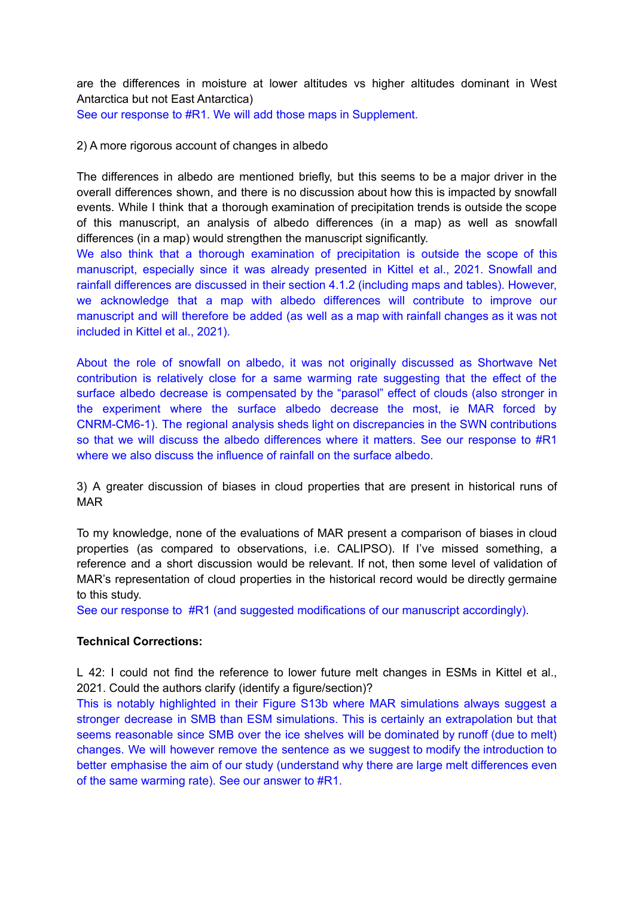are the differences in moisture at lower altitudes vs higher altitudes dominant in West Antarctica but not East Antarctica)

See our response to #R1. We will add those maps in Supplement.

#### 2) A more rigorous account of changes in albedo

The differences in albedo are mentioned briefly, but this seems to be a major driver in the overall differences shown, and there is no discussion about how this is impacted by snowfall events. While I think that a thorough examination of precipitation trends is outside the scope of this manuscript, an analysis of albedo differences (in a map) as well as snowfall differences (in a map) would strengthen the manuscript significantly.

We also think that a thorough examination of precipitation is outside the scope of this manuscript, especially since it was already presented in Kittel et al., 2021. Snowfall and rainfall differences are discussed in their section 4.1.2 (including maps and tables). However, we acknowledge that a map with albedo differences will contribute to improve our manuscript and will therefore be added (as well as a map with rainfall changes as it was not included in Kittel et al., 2021).

About the role of snowfall on albedo, it was not originally discussed as Shortwave Net contribution is relatively close for a same warming rate suggesting that the effect of the surface albedo decrease is compensated by the "parasol" effect of clouds (also stronger in the experiment where the surface albedo decrease the most, ie MAR forced by CNRM-CM6-1). The regional analysis sheds light on discrepancies in the SWN contributions so that we will discuss the albedo differences where it matters. See our response to #R1 where we also discuss the influence of rainfall on the surface albedo.

3) A greater discussion of biases in cloud properties that are present in historical runs of MAR

To my knowledge, none of the evaluations of MAR present a comparison of biases in cloud properties (as compared to observations, i.e. CALIPSO). If I've missed something, a reference and a short discussion would be relevant. If not, then some level of validation of MAR's representation of cloud properties in the historical record would be directly germaine to this study.

See our response to #R1 (and suggested modifications of our manuscript accordingly).

## **Technical Corrections:**

L 42: I could not find the reference to lower future melt changes in ESMs in Kittel et al., 2021. Could the authors clarify (identify a figure/section)?

This is notably highlighted in their Figure S13b where MAR simulations always suggest a stronger decrease in SMB than ESM simulations. This is certainly an extrapolation but that seems reasonable since SMB over the ice shelves will be dominated by runoff (due to melt) changes. We will however remove the sentence as we suggest to modify the introduction to better emphasise the aim of our study (understand why there are large melt differences even of the same warming rate). See our answer to #R1.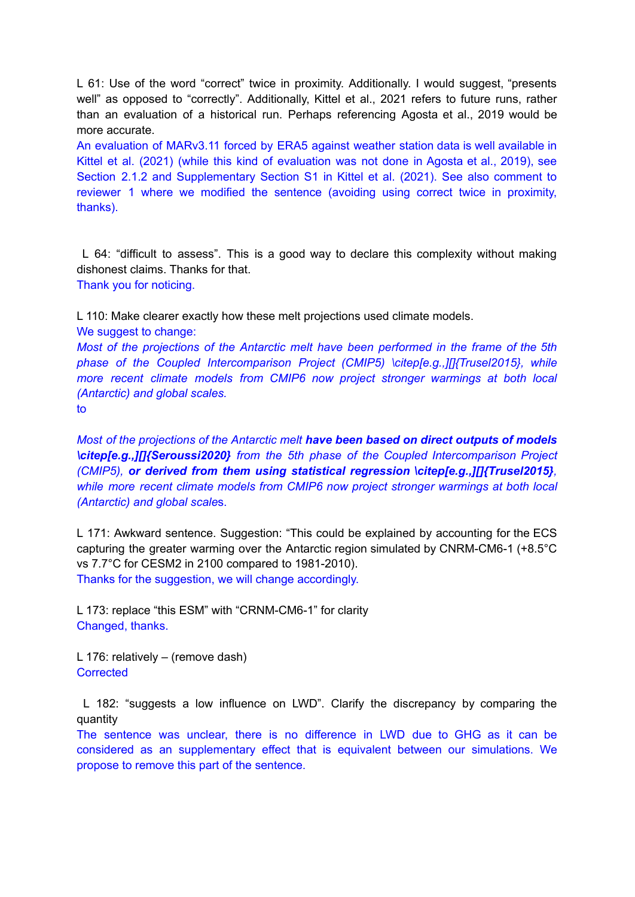L 61: Use of the word "correct" twice in proximity. Additionally. I would suggest, "presents well" as opposed to "correctly". Additionally, Kittel et al., 2021 refers to future runs, rather than an evaluation of a historical run. Perhaps referencing Agosta et al., 2019 would be more accurate.

An evaluation of MARv3.11 forced by ERA5 against weather station data is well available in Kittel et al. (2021) (while this kind of evaluation was not done in Agosta et al., 2019), see Section 2.1.2 and Supplementary Section S1 in Kittel et al. (2021). See also comment to reviewer 1 where we modified the sentence (avoiding using correct twice in proximity, thanks).

L 64: "difficult to assess". This is a good way to declare this complexity without making dishonest claims. Thanks for that. Thank you for noticing.

L 110: Make clearer exactly how these melt projections used climate models. We suggest to change:

*Most of the projections of the Antarctic melt have been performed in the frame of the 5th phase of the Coupled Intercomparison Project (CMIP5) \citep[e.g.,][]{Trusel2015}, while more recent climate models from CMIP6 now project stronger warmings at both local (Antarctic) and global scales.*

to

*Most of the projections of the Antarctic melt have been based on direct outputs of models \citep[e.g.,][]{Seroussi2020} from the 5th phase of the Coupled Intercomparison Project (CMIP5), or derived from them using statistical regression \citep[e.g.,][]{Trusel2015}, while more recent climate models from CMIP6 now project stronger warmings at both local (Antarctic) and global scale*s.

L 171: Awkward sentence. Suggestion: "This could be explained by accounting for the ECS capturing the greater warming over the Antarctic region simulated by CNRM-CM6-1 (+8.5°C vs 7.7°C for CESM2 in 2100 compared to 1981-2010). Thanks for the suggestion, we will change accordingly.

L 173: replace "this ESM" with "CRNM-CM6-1" for clarity Changed, thanks.

L 176: relatively – (remove dash) **Corrected** 

L 182: "suggests a low influence on LWD". Clarify the discrepancy by comparing the quantity

The sentence was unclear, there is no difference in LWD due to GHG as it can be considered as an supplementary effect that is equivalent between our simulations. We propose to remove this part of the sentence.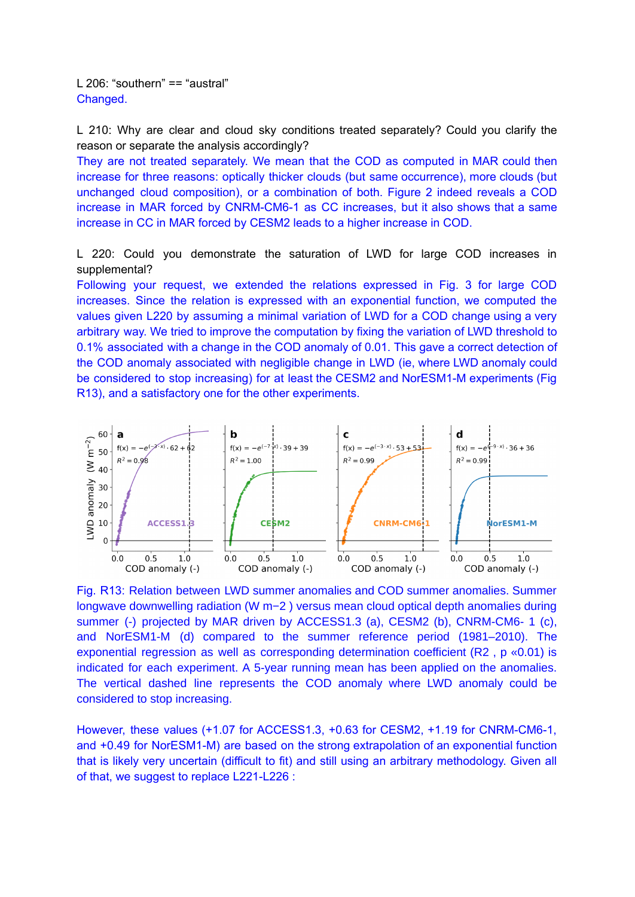L 206: "southern" == "austral" Changed.

L 210: Why are clear and cloud sky conditions treated separately? Could you clarify the reason or separate the analysis accordingly?

They are not treated separately. We mean that the COD as computed in MAR could then increase for three reasons: optically thicker clouds (but same occurrence), more clouds (but unchanged cloud composition), or a combination of both. Figure 2 indeed reveals a COD increase in MAR forced by CNRM-CM6-1 as CC increases, but it also shows that a same increase in CC in MAR forced by CESM2 leads to a higher increase in COD.

L 220: Could you demonstrate the saturation of LWD for large COD increases in supplemental?

Following your request, we extended the relations expressed in Fig. 3 for large COD increases. Since the relation is expressed with an exponential function, we computed the values given L220 by assuming a minimal variation of LWD for a COD change using a very arbitrary way. We tried to improve the computation by fixing the variation of LWD threshold to 0.1% associated with a change in the COD anomaly of 0.01. This gave a correct detection of the COD anomaly associated with negligible change in LWD (ie, where LWD anomaly could be considered to stop increasing) for at least the CESM2 and NorESM1-M experiments (Fig R13), and a satisfactory one for the other experiments.



Fig. R13: Relation between LWD summer anomalies and COD summer anomalies. Summer longwave downwelling radiation (W m−2 ) versus mean cloud optical depth anomalies during summer (-) projected by MAR driven by ACCESS1.3 (a), CESM2 (b), CNRM-CM6- 1 (c), and NorESM1-M (d) compared to the summer reference period (1981–2010). The exponential regression as well as corresponding determination coefficient (R2 , p «0.01) is indicated for each experiment. A 5-year running mean has been applied on the anomalies. The vertical dashed line represents the COD anomaly where LWD anomaly could be considered to stop increasing.

However, these values (+1.07 for ACCESS1.3, +0.63 for CESM2, +1.19 for CNRM-CM6-1, and +0.49 for NorESM1-M) are based on the strong extrapolation of an exponential function that is likely very uncertain (difficult to fit) and still using an arbitrary methodology. Given all of that, we suggest to replace L221-L226 :